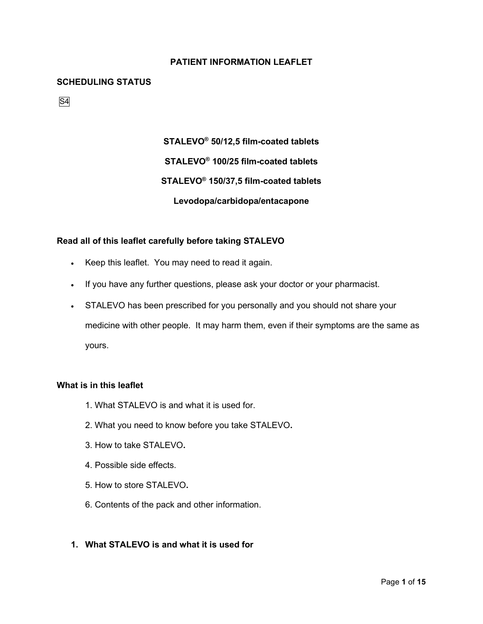# **PATIENT INFORMATION LEAFLET**

#### **SCHEDULING STATUS**

S4

**STALEVO® 50/12,5 film-coated tablets STALEVO® 100/25 film-coated tablets STALEVO® 150/37,5 film-coated tablets Levodopa/carbidopa/entacapone**

#### **Read all of this leaflet carefully before taking STALEVO**

- Keep this leaflet. You may need to read it again.
- If you have any further questions, please ask your doctor or your pharmacist.
- STALEVO has been prescribed for you personally and you should not share your medicine with other people. It may harm them, even if their symptoms are the same as yours.

#### **What is in this leaflet**

- 1. What STALEVO is and what it is used for.
- 2. What you need to know before you take STALEVO**.**
- 3. How to take STALEVO**.**
- 4. Possible side effects.
- 5. How to store STALEVO**.**
- 6. Contents of the pack and other information.

# **1. What STALEVO is and what it is used for**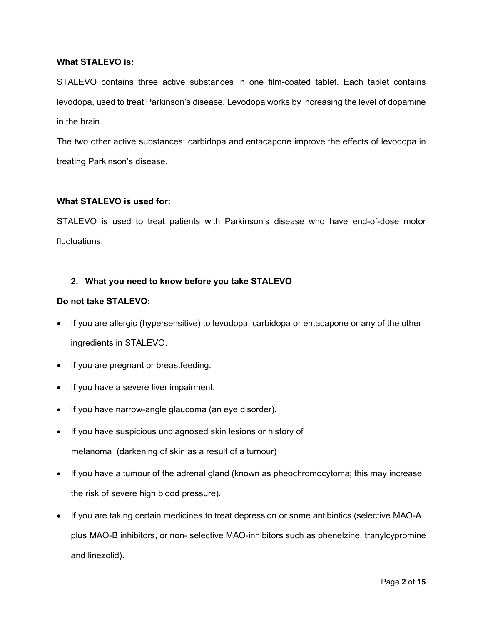#### **What STALEVO is:**

STALEVO contains three active substances in one film-coated tablet. Each tablet contains levodopa, used to treat Parkinson's disease. Levodopa works by increasing the level of dopamine in the brain.

The two other active substances: carbidopa and entacapone improve the effects of levodopa in treating Parkinson's disease.

#### **What STALEVO is used for:**

STALEVO is used to treat patients with Parkinson's disease who have end-of-dose motor fluctuations.

# **2. What you need to know before you take STALEVO**

#### **Do not take STALEVO:**

- If you are allergic (hypersensitive) to levodopa, carbidopa or entacapone or any of the other ingredients in STALEVO.
- If you are pregnant or breastfeeding.
- If you have a severe liver impairment.
- If you have narrow-angle glaucoma (an eye disorder).
- If you have suspicious undiagnosed skin lesions or history of melanoma (darkening of skin as a result of a tumour)
- If you have a tumour of the adrenal gland (known as pheochromocytoma; this may increase the risk of severe high blood pressure).
- If you are taking certain medicines to treat depression or some antibiotics (selective MAO-A plus MAO-B inhibitors, or non- selective MAO-inhibitors such as phenelzine, tranylcypromine and linezolid).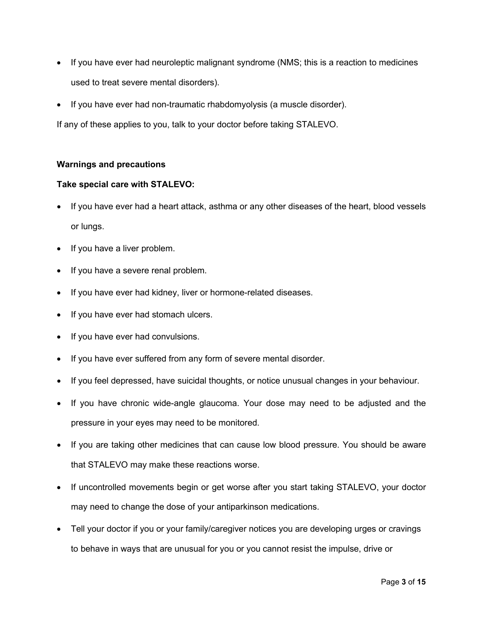- If you have ever had neuroleptic malignant syndrome (NMS; this is a reaction to medicines used to treat severe mental disorders).
- If you have ever had non-traumatic rhabdomyolysis (a muscle disorder).

If any of these applies to you, talk to your doctor before taking STALEVO.

#### **Warnings and precautions**

#### **Take special care with STALEVO:**

- If you have ever had a heart attack, asthma or any other diseases of the heart, blood vessels or lungs.
- If you have a liver problem.
- If you have a severe renal problem.
- If you have ever had kidney, liver or hormone-related diseases.
- If you have ever had stomach ulcers.
- If you have ever had convulsions.
- If you have ever suffered from any form of severe mental disorder.
- If you feel depressed, have suicidal thoughts, or notice unusual changes in your behaviour.
- If you have chronic wide-angle glaucoma. Your dose may need to be adjusted and the pressure in your eyes may need to be monitored.
- If you are taking other medicines that can cause low blood pressure. You should be aware that STALEVO may make these reactions worse.
- If uncontrolled movements begin or get worse after you start taking STALEVO, your doctor may need to change the dose of your antiparkinson medications.
- Tell your doctor if you or your family/caregiver notices you are developing urges or cravings to behave in ways that are unusual for you or you cannot resist the impulse, drive or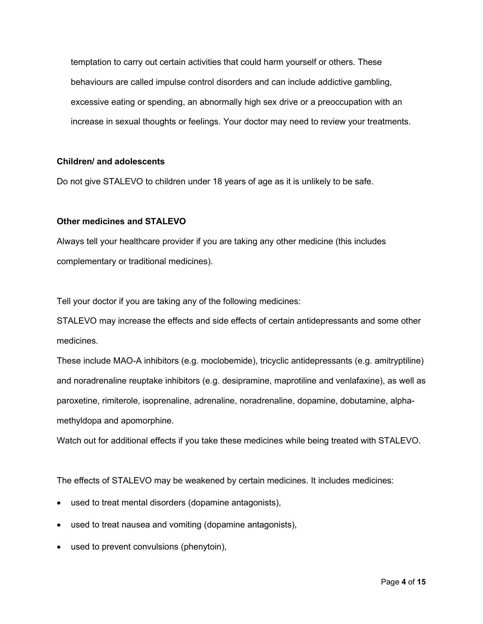temptation to carry out certain activities that could harm yourself or others. These behaviours are called impulse control disorders and can include addictive gambling, excessive eating or spending, an abnormally high sex drive or a preoccupation with an increase in sexual thoughts or feelings. Your doctor may need to review your treatments.

#### **Children/ and adolescents**

Do not give STALEVO to children under 18 years of age as it is unlikely to be safe.

#### **Other medicines and STALEVO**

Always tell your healthcare provider if you are taking any other medicine (this includes complementary or traditional medicines).

Tell your doctor if you are taking any of the following medicines:

STALEVO may increase the effects and side effects of certain antidepressants and some other medicines.

These include MAO-A inhibitors (e.g. moclobemide), tricyclic antidepressants (e.g. amitryptiline) and noradrenaline reuptake inhibitors (e.g. desipramine, maprotiline and venlafaxine), as well as paroxetine, rimiterole, isoprenaline, adrenaline, noradrenaline, dopamine, dobutamine, alphamethyldopa and apomorphine.

Watch out for additional effects if you take these medicines while being treated with STALEVO.

The effects of STALEVO may be weakened by certain medicines. It includes medicines:

- used to treat mental disorders (dopamine antagonists),
- used to treat nausea and vomiting (dopamine antagonists),
- used to prevent convulsions (phenytoin),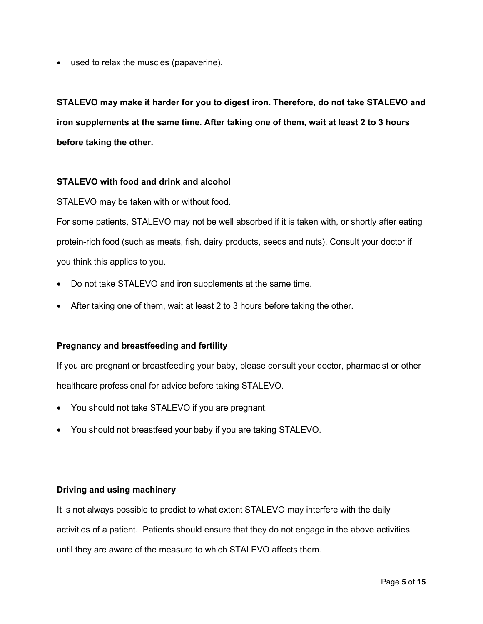• used to relax the muscles (papaverine).

**STALEVO may make it harder for you to digest iron. Therefore, do not take STALEVO and iron supplements at the same time. After taking one of them, wait at least 2 to 3 hours before taking the other.** 

# **STALEVO with food and drink and alcohol**

STALEVO may be taken with or without food.

For some patients, STALEVO may not be well absorbed if it is taken with, or shortly after eating protein-rich food (such as meats, fish, dairy products, seeds and nuts). Consult your doctor if you think this applies to you.

- Do not take STALEVO and iron supplements at the same time.
- After taking one of them, wait at least 2 to 3 hours before taking the other.

#### **Pregnancy and breastfeeding and fertility**

If you are pregnant or breastfeeding your baby, please consult your doctor, pharmacist or other healthcare professional for advice before taking STALEVO.

- You should not take STALEVO if you are pregnant.
- You should not breastfeed your baby if you are taking STALEVO.

#### **Driving and using machinery**

It is not always possible to predict to what extent STALEVO may interfere with the daily activities of a patient. Patients should ensure that they do not engage in the above activities until they are aware of the measure to which STALEVO affects them.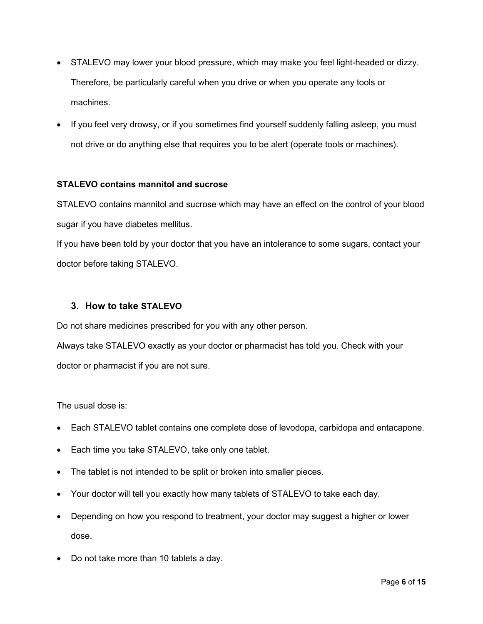- STALEVO may lower your blood pressure, which may make you feel light-headed or dizzy. Therefore, be particularly careful when you drive or when you operate any tools or machines.
- If you feel very drowsy, or if you sometimes find yourself suddenly falling asleep, you must not drive or do anything else that requires you to be alert (operate tools or machines).

# **STALEVO contains mannitol and sucrose**

STALEVO contains mannitol and sucrose which may have an effect on the control of your blood sugar if you have diabetes mellitus.

If you have been told by your doctor that you have an intolerance to some sugars, contact your doctor before taking STALEVO.

# **3. How to take STALEVO**

Do not share medicines prescribed for you with any other person.

Always take STALEVO exactly as your doctor or pharmacist has told you. Check with your doctor or pharmacist if you are not sure.

The usual dose is:

- Each STALEVO tablet contains one complete dose of levodopa, carbidopa and entacapone.
- Each time you take STALEVO, take only one tablet.
- The tablet is not intended to be split or broken into smaller pieces.
- Your doctor will tell you exactly how many tablets of STALEVO to take each day.
- Depending on how you respond to treatment, your doctor may suggest a higher or lower dose.
- Do not take more than 10 tablets a day.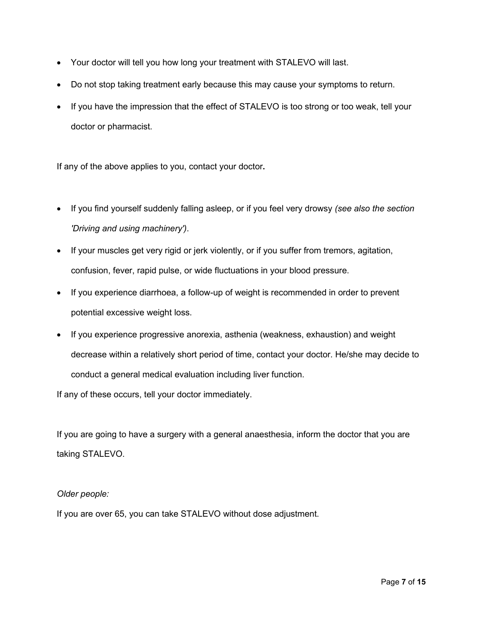- Your doctor will tell you how long your treatment with STALEVO will last.
- Do not stop taking treatment early because this may cause your symptoms to return.
- If you have the impression that the effect of STALEVO is too strong or too weak, tell your doctor or pharmacist.

If any of the above applies to you, contact your doctor**.**

- If you find yourself suddenly falling asleep, or if you feel very drowsy *(see also the section 'Driving and using machinery')*.
- If your muscles get very rigid or jerk violently, or if you suffer from tremors, agitation, confusion, fever, rapid pulse, or wide fluctuations in your blood pressure.
- If you experience diarrhoea, a follow-up of weight is recommended in order to prevent potential excessive weight loss.
- If you experience progressive anorexia, asthenia (weakness, exhaustion) and weight decrease within a relatively short period of time, contact your doctor. He/she may decide to conduct a general medical evaluation including liver function.

If any of these occurs, tell your doctor immediately.

If you are going to have a surgery with a general anaesthesia, inform the doctor that you are taking STALEVO.

#### *Older people:*

If you are over 65, you can take STALEVO without dose adjustment.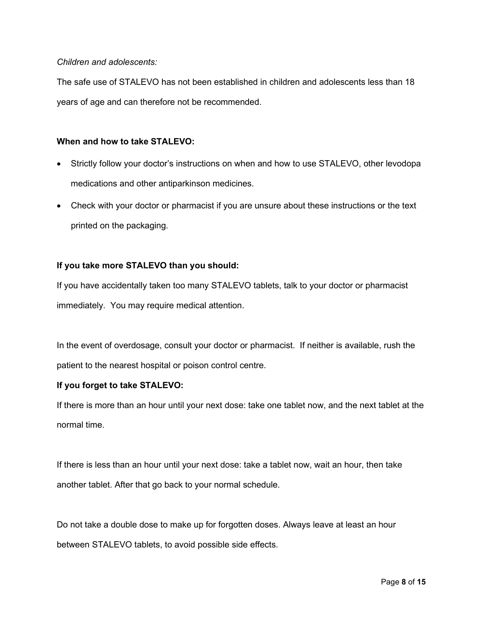#### *Children and adolescents:*

The safe use of STALEVO has not been established in children and adolescents less than 18 years of age and can therefore not be recommended.

## **When and how to take STALEVO:**

- Strictly follow your doctor's instructions on when and how to use STALEVO, other levodopa medications and other antiparkinson medicines.
- Check with your doctor or pharmacist if you are unsure about these instructions or the text printed on the packaging.

#### **If you take more STALEVO than you should:**

If you have accidentally taken too many STALEVO tablets, talk to your doctor or pharmacist immediately. You may require medical attention.

In the event of overdosage, consult your doctor or pharmacist. If neither is available, rush the patient to the nearest hospital or poison control centre.

# **If you forget to take STALEVO:**

If there is more than an hour until your next dose: take one tablet now, and the next tablet at the normal time.

If there is less than an hour until your next dose: take a tablet now, wait an hour, then take another tablet. After that go back to your normal schedule.

Do not take a double dose to make up for forgotten doses. Always leave at least an hour between STALEVO tablets, to avoid possible side effects.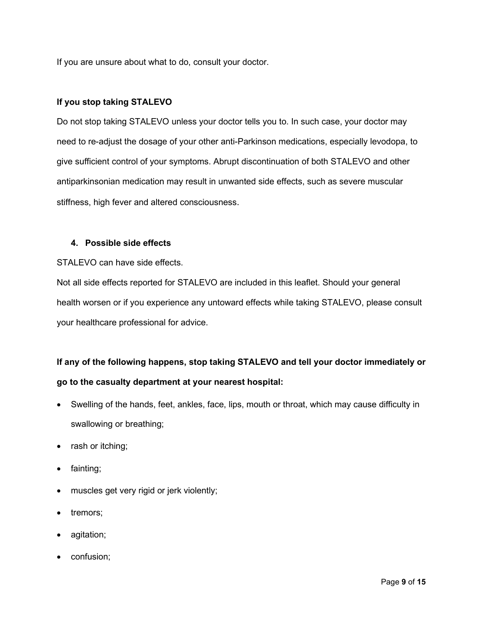If you are unsure about what to do, consult your doctor.

## **If you stop taking STALEVO**

Do not stop taking STALEVO unless your doctor tells you to. In such case, your doctor may need to re-adjust the dosage of your other anti-Parkinson medications, especially levodopa, to give sufficient control of your symptoms. Abrupt discontinuation of both STALEVO and other antiparkinsonian medication may result in unwanted side effects, such as severe muscular stiffness, high fever and altered consciousness.

#### **4. Possible side effects**

STALEVO can have side effects.

Not all side effects reported for STALEVO are included in this leaflet. Should your general health worsen or if you experience any untoward effects while taking STALEVO, please consult your healthcare professional for advice.

# **If any of the following happens, stop taking STALEVO and tell your doctor immediately or go to the casualty department at your nearest hospital:**

- Swelling of the hands, feet, ankles, face, lips, mouth or throat, which may cause difficulty in swallowing or breathing;
- rash or itching;
- fainting;
- muscles get very rigid or jerk violently;
- tremors;
- agitation;
- confusion;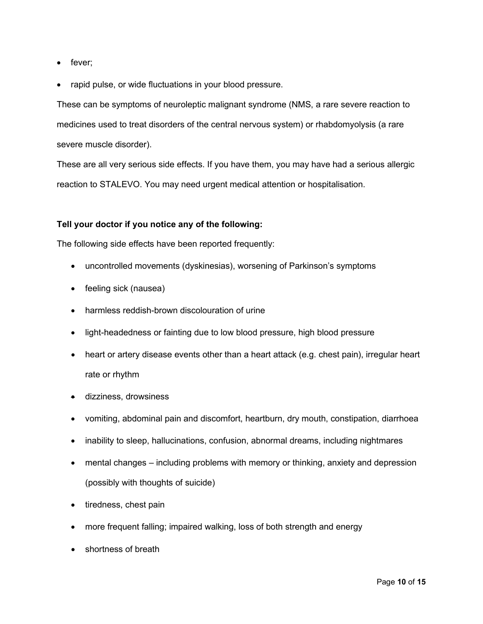- fever;
- rapid pulse, or wide fluctuations in your blood pressure.

These can be symptoms of neuroleptic malignant syndrome (NMS, a rare severe reaction to medicines used to treat disorders of the central nervous system) or rhabdomyolysis (a rare severe muscle disorder).

These are all very serious side effects. If you have them, you may have had a serious allergic reaction to STALEVO. You may need urgent medical attention or hospitalisation.

#### **Tell your doctor if you notice any of the following:**

The following side effects have been reported frequently:

- uncontrolled movements (dyskinesias), worsening of Parkinson's symptoms
- feeling sick (nausea)
- harmless reddish-brown discolouration of urine
- light-headedness or fainting due to low blood pressure, high blood pressure
- heart or artery disease events other than a heart attack (e.g. chest pain), irregular heart rate or rhythm
- dizziness, drowsiness
- vomiting, abdominal pain and discomfort, heartburn, dry mouth, constipation, diarrhoea
- inability to sleep, hallucinations, confusion, abnormal dreams, including nightmares
- mental changes including problems with memory or thinking, anxiety and depression (possibly with thoughts of suicide)
- tiredness, chest pain
- more frequent falling; impaired walking, loss of both strength and energy
- shortness of breath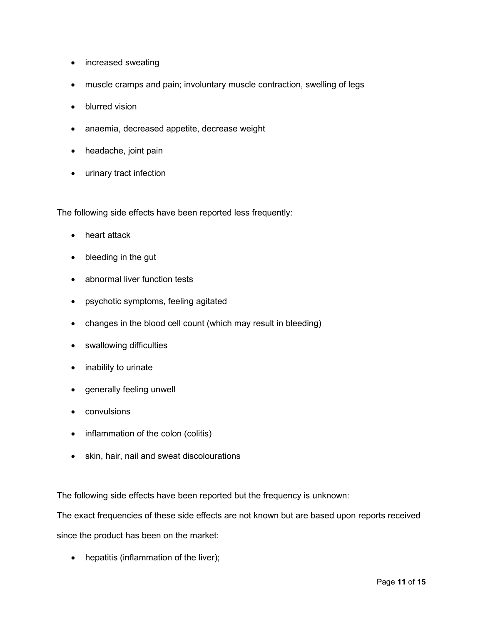- increased sweating
- muscle cramps and pain; involuntary muscle contraction, swelling of legs
- blurred vision
- anaemia, decreased appetite, decrease weight
- headache, joint pain
- urinary tract infection

The following side effects have been reported less frequently:

- heart attack
- bleeding in the gut
- abnormal liver function tests
- psychotic symptoms, feeling agitated
- changes in the blood cell count (which may result in bleeding)
- swallowing difficulties
- inability to urinate
- generally feeling unwell
- convulsions
- inflammation of the colon (colitis)
- skin, hair, nail and sweat discolourations

The following side effects have been reported but the frequency is unknown:

The exact frequencies of these side effects are not known but are based upon reports received since the product has been on the market:

• hepatitis (inflammation of the liver);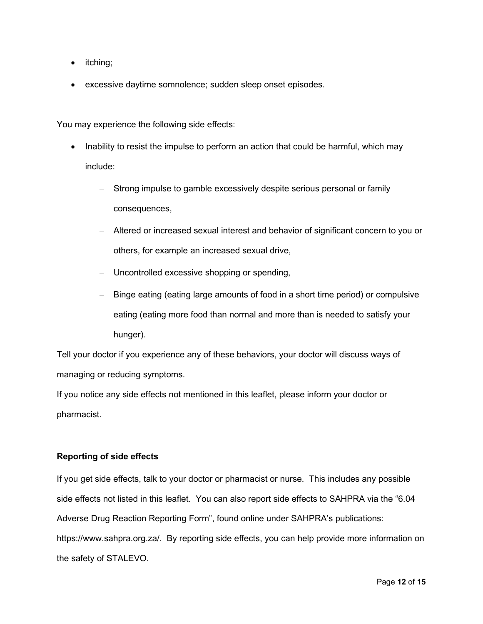- *itching*;
- excessive daytime somnolence; sudden sleep onset episodes.

You may experience the following side effects:

- Inability to resist the impulse to perform an action that could be harmful, which may include:
	- − Strong impulse to gamble excessively despite serious personal or family consequences,
	- − Altered or increased sexual interest and behavior of significant concern to you or others, for example an increased sexual drive,
	- − Uncontrolled excessive shopping or spending,
	- − Binge eating (eating large amounts of food in a short time period) or compulsive eating (eating more food than normal and more than is needed to satisfy your hunger).

Tell your doctor if you experience any of these behaviors, your doctor will discuss ways of managing or reducing symptoms.

If you notice any side effects not mentioned in this leaflet, please inform your doctor or pharmacist.

# **Reporting of side effects**

If you get side effects, talk to your doctor or pharmacist or nurse. This includes any possible side effects not listed in this leaflet. You can also report side effects to SAHPRA via the "6.04 Adverse Drug Reaction Reporting Form", found online under SAHPRA's publications: [https://www.sahpra.org.za/.](https://www.sahpra.org.za/) By reporting side effects, you can help provide more information on the safety of STALEVO.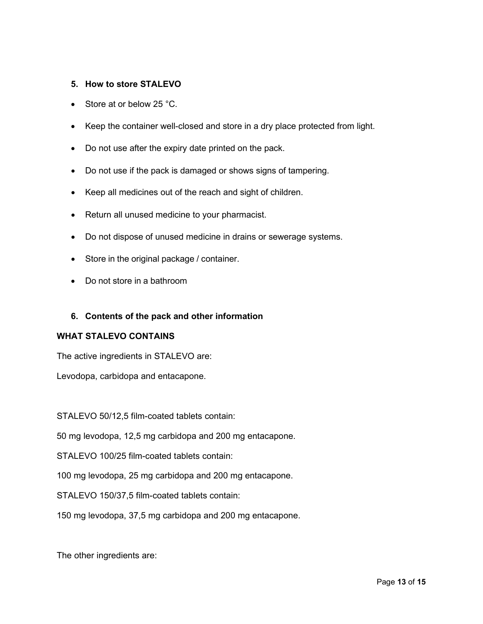## **5. How to store STALEVO**

- Store at or below 25 °C.
- Keep the container well-closed and store in a dry place protected from light.
- Do not use after the expiry date printed on the pack.
- Do not use if the pack is damaged or shows signs of tampering.
- Keep all medicines out of the reach and sight of children.
- Return all unused medicine to your pharmacist.
- Do not dispose of unused medicine in drains or sewerage systems.
- Store in the original package / container.
- Do not store in a bathroom

#### **6. Contents of the pack and other information**

#### **WHAT STALEVO CONTAINS**

The active ingredients in STALEVO are:

Levodopa, carbidopa and entacapone.

STALEVO 50/12,5 film-coated tablets contain:

50 mg levodopa, 12,5 mg carbidopa and 200 mg entacapone.

STALEVO 100/25 film-coated tablets contain:

100 mg levodopa, 25 mg carbidopa and 200 mg entacapone.

STALEVO 150/37,5 film-coated tablets contain:

150 mg levodopa, 37,5 mg carbidopa and 200 mg entacapone.

The other ingredients are: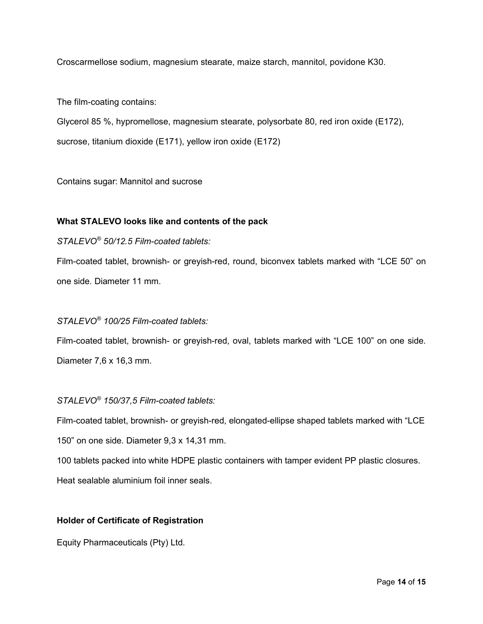Croscarmellose sodium, magnesium stearate, maize starch, mannitol, povidone K30.

The film-coating contains:

Glycerol 85 %, hypromellose, magnesium stearate, polysorbate 80, red iron oxide (E172), sucrose, titanium dioxide (E171), yellow iron oxide (E172)

Contains sugar: Mannitol and sucrose

# **What STALEVO looks like and contents of the pack**

# *STALEVO® 50/12.5 Film-coated tablets:*

Film-coated tablet, brownish- or greyish-red, round, biconvex tablets marked with "LCE 50" on one side. Diameter 11 mm.

# *STALEVO® 100/25 Film-coated tablets:*

Film-coated tablet, brownish- or greyish-red, oval, tablets marked with "LCE 100" on one side. Diameter 7,6 x 16,3 mm.

# *STALEVO® 150/37,5 Film-coated tablets:*

Film-coated tablet, brownish- or greyish-red, elongated-ellipse shaped tablets marked with "LCE 150" on one side. Diameter 9,3 x 14,31 mm.

100 tablets packed into white HDPE plastic containers with tamper evident PP plastic closures. Heat sealable aluminium foil inner seals.

# **Holder of Certificate of Registration**

Equity Pharmaceuticals (Pty) Ltd.